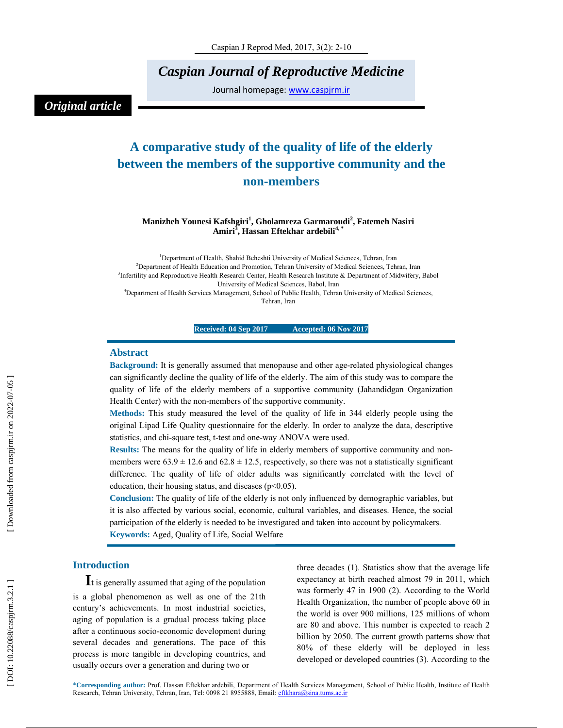*Caspian Journal of Reproductive Medicine* 

Journal homepage: www.caspjrm.ir

### *Original article*

## **A comparative study of the quality of life of the elderly between the members of the supportive community and the non-members**

### **Manizheh Younesi Kafshgiri 1 , Gholamreza Garmaroudi 2 , Fatemeh Nasiri Amiri 3 , Hassan Eftekhar ardebili4, \***

<sup>1</sup>Department of Health, Shahid Beheshti University of Medical Sciences, Tehran, Iran 2 Department of Health Education and Promotion, Tehran University of Medical Sciences, Tehran, Iran <sup>3</sup>Infertility and Reproductive Health Research Center, Health Research Institute & Department of Midwifery, Babol University of Medical Sciences, Babol, Iran 4 Department of Health Services Management, School of Public Health, Tehran University of Medical Sciences, Tehran, Iran

**Received: 04 Sep 2017 Accepted: 06 Nov 2017** 

### **Abstract**

**Background:** It is generally assumed that menopause and other age-related physiological changes can significantly decline the quality of life of the elderly. The aim of this study was to compare the quality of life of the elderly members of a supportive community (Jahandidgan Organization Health Center) with the non-members of the supportive community.

**Methods:** This study measured the level of the quality of life in 344 elderly people using the original Lipad Life Quality questionnaire for the elderly. In order to analyze the data, descriptive statistics, and chi-square test, t-test and one-way ANOVA were used.

**Results:** The means for the quality of life in elderly members of supportive community and nonmembers were  $63.9 \pm 12.6$  and  $62.8 \pm 12.5$ , respectively, so there was not a statistically significant difference. The quality of life of older adults was significantly correlated with the level of education, their housing status, and diseases ( $p<0.05$ ).

**Conclusion:** The quality of life of the elderly is not only influenced by demographic variables, but it is also affected by various social, economic, cultural variables, and diseases. Hence, the social participation of the elderly is needed to be investigated and taken into account by policymakers.

**Keywords:** Aged, Quality of Life, Social Welfare

**Introduction**<br>**I**t is generally assumed that aging of the population is a global phenomenon as well as one of the 21th century's achievements. In most industrial societies, aging of population is a gradual process taking place after a continuous socio-economic development during several decades and generations. The pace of this process is more tangible in developing countries, and usually occurs over a generation and during two or

three decades (1). Statistics show that the average life expectancy at birth reached almost 79 in 2011, which was formerly 47 in 1900 (2). According to the World Health Organization, the number of people above 60 in the world is over 900 millions, 125 millions of whom are 80 and above. This number is expected to reach 2 billion by 2050. The current growth patterns show that 80% of these elderly will be deployed in less developed or developed countries (3). According to the

\***Corresponding author:** Prof. Hassan Eftekhar ardebili, Department of Health Services Management, School of Public Health, Institute of Health Research, Tehran University, Tehran, Iran, Tel: 0098 21 8955888, Email: eftkhara@sina.tums.ac.ir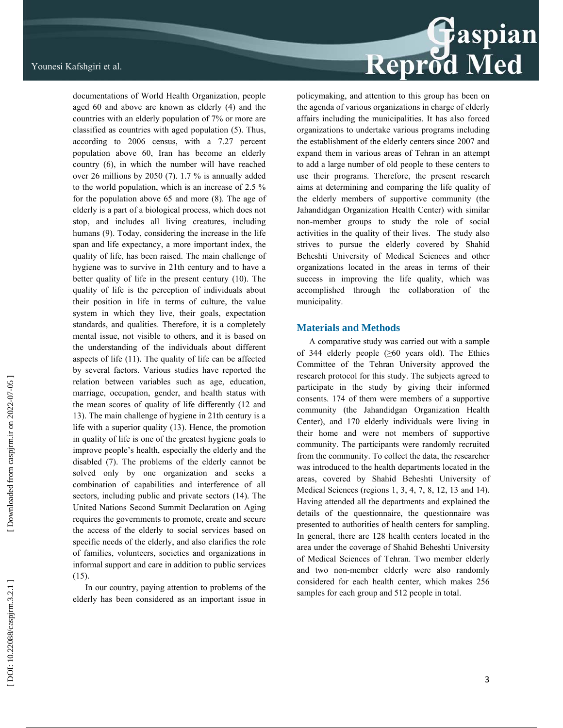documentations of World Health Organization, people aged 60 and above are known as elderly (4) and the countries with an elderly population of 7% or more are classified as countries with aged population (5). Thus, according to 2006 census, with a 7.27 percent population above 60, Iran has become an elderly country (6), in which the number will have reached over 26 millions by 2050 (7). 1.7 % is annually added to the world population, which is an increase of 2.5 % for the population above 65 and more (8). The age of elderly is a part of a biological process, which does not stop, and includes all living creatures, including humans (9). Today, considering the increase in the life span and life expectancy, a more important index, the quality of life, has been raised. The main challenge of hygiene was to survive in 21th century and to have a better quality of life in the present century (10). The quality of life is the perception of individuals about their position in life in terms of culture, the value system in which they live, their goals, expectation standards, and qualities. Therefore, it is a completely mental issue, not visible to others, and it is based on the understanding of the individuals about different aspects of life (11). The quality of life can be affected by several factors. Various studies have reported the relation between variables such as age, education, marriage, occupation, gender, and health status with the mean scores of quality of life differently (12 and 13). The main challenge of hygiene in 21th century is a life with a superior quality (13). Hence, the promotion in quality of life is one of the greatest hygiene goals to improve people's health, especially the elderly and the disabled (7). The problems of the elderly cannot be solved only by one organization and seeks a combination of capabilities and interference of all sectors, including public and private sectors (14). The United Nations Second Summit Declaration on Aging requires the governments to promote, create and secure the access of the elderly to social services based on specific needs of the elderly, and also clarifies the role of families, volunteers, societies and organizations in informal support and care in addition to public services (15).

In our country, paying attention to problems of the elderly has been considered as an important issue in

## Reprod Med

policymaking, and attention to this group has been on the agenda of various organizations in charge of elderly affairs including the municipalities. It has also forced organizations to undertake various programs including the establishment of the elderly centers since 2007 and expand them in various areas of Tehran in an attempt to add a large number of old people to these centers to use their programs. Therefore, the present research aims at determining and comparing the life quality of the elderly members of supportive community (the Jahandidgan Organization Health Center) with similar non-member groups to study the role of social activities in the quality of their lives. The study also strives to pursue the elderly covered by Shahid Beheshti University of Medical Sciences and other organizations located in the areas in terms of their success in improving the life quality, which was accomplished through the collaboration of the municipality.

### **Materials and Methods**

A comparative study was carried out with a sample of 344 elderly people ( ≥60 years old). The Ethics Committee of the Tehran University approved the research protocol for this study. The subjects agreed to participate in the study by giving their informed consents. 174 of them were members of a supportive community (the Jahandidgan Organization Health Center), and 170 elderly individuals were living in their home and were not members of supportive community. The participants were randomly recruited from the community. To collect the data, the researcher was introduced to the health departments located in the areas, covered by Shahid Beheshti University of Medical Sciences (regions 1, 3, 4, 7, 8, 12, 13 and 14). Having attended all the departments and explained the details of the questionnaire, the questionnaire was presented to authorities of health centers for sampling. In general, there are 128 health centers located in the area under the coverage of Shahid Beheshti University of Medical Sciences of Tehran. Two member elderly and two non-member elderly were also randomly considered for each health center, which makes 256 samples for each group and 512 people in total.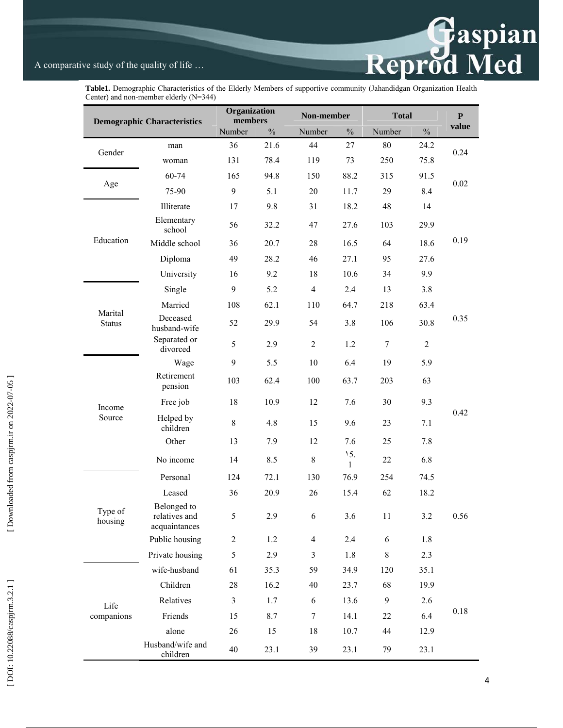### A comparative study of the quality of life …



**Table1.** Demographic Characteristics of the Elderly Members of supportive community (Jahandidgan Organization Health Center) and non-member elderly (N=344)

| <b>Demographic Characteristics</b> |                                               | Organization<br>members |      | Non-member     |          | <b>Total</b>     |                | ${\bf P}$ |
|------------------------------------|-----------------------------------------------|-------------------------|------|----------------|----------|------------------|----------------|-----------|
|                                    |                                               | Number                  | $\%$ | Number         | $\%$     | Number           | $\%$           | value     |
| Gender                             | man                                           | 36                      | 21.6 | 44             | 27       | 80               | 24.2           | 0.24      |
|                                    | woman                                         | 131                     | 78.4 | 119            | 73       | 250              | 75.8           |           |
| Age                                | 60-74                                         | 165                     | 94.8 | 150            | 88.2     | 315              | 91.5           | 0.02      |
|                                    | 75-90                                         | 9                       | 5.1  | 20             | 11.7     | 29               | 8.4            |           |
| Education                          | Illiterate                                    | 17                      | 9.8  | 31             | 18.2     | 48               | 14             | 0.19      |
|                                    | Elementary<br>school                          | 56                      | 32.2 | 47             | 27.6     | 103              | 29.9           |           |
|                                    | Middle school                                 | 36                      | 20.7 | 28             | 16.5     | 64               | 18.6           |           |
|                                    | Diploma                                       | 49                      | 28.2 | 46             | 27.1     | 95               | 27.6           |           |
|                                    | University                                    | 16                      | 9.2  | 18             | 10.6     | 34               | 9.9            |           |
| Marital<br><b>Status</b>           | Single                                        | 9                       | 5.2  | $\overline{4}$ | 2.4      | 13               | 3.8            | 0.35      |
|                                    | Married                                       | 108                     | 62.1 | 110            | 64.7     | 218              | 63.4           |           |
|                                    | Deceased<br>husband-wife                      | 52                      | 29.9 | 54             | 3.8      | 106              | 30.8           |           |
|                                    | Separated or<br>divorced                      | 5                       | 2.9  | $\overline{c}$ | 1.2      | $\tau$           | $\overline{2}$ |           |
| Income<br>Source                   | Wage                                          | 9                       | 5.5  | 10             | 6.4      | 19               | 5.9            | 0.42      |
|                                    | Retirement<br>pension                         | 103                     | 62.4 | 100            | 63.7     | 203              | 63             |           |
|                                    | Free job                                      | 18                      | 10.9 | 12             | 7.6      | 30               | 9.3            |           |
|                                    | Helped by<br>children                         | $\,8\,$                 | 4.8  | 15             | 9.6      | 23               | 7.1            |           |
|                                    | Other                                         | 13                      | 7.9  | 12             | 7.6      | 25               | 7.8            |           |
|                                    | No income                                     | 14                      | 8.5  | 8              | 15.<br>1 | 22               | 6.8            |           |
| Type of<br>housing                 | Personal                                      | 124                     | 72.1 | 130            | 76.9     | 254              | 74.5           | 0.56      |
|                                    | Leased                                        | 36                      | 20.9 | 26             | 15.4     | 62               | 18.2           |           |
|                                    | Belonged to<br>relatives and<br>acquaintances | 5 <sup>5</sup>          | 2.9  | 6              | 3.6      | 11               | $3.2\,$        |           |
|                                    | Public housing                                | $\boldsymbol{2}$        | 1.2  | 4              | 2.4      | $\boldsymbol{6}$ | 1.8            |           |
|                                    | Private housing                               | 5                       | 2.9  | 3              | 1.8      | $\,8\,$          | 2.3            |           |
| Life<br>companions                 | wife-husband                                  | 61                      | 35.3 | 59             | 34.9     | 120              | 35.1           | $0.18\,$  |
|                                    | Children                                      | $28\,$                  | 16.2 | 40             | 23.7     | 68               | 19.9           |           |
|                                    | Relatives                                     | $\overline{3}$          | 1.7  | 6              | 13.6     | 9                | 2.6            |           |
|                                    | Friends                                       | 15                      | 8.7  | $\tau$         | 14.1     | 22               | 6.4            |           |
|                                    | alone                                         | 26                      | 15   | 18             | 10.7     | 44               | 12.9           |           |
|                                    | Husband/wife and<br>children                  | 40                      | 23.1 | 39             | 23.1     | 79               | 23.1           |           |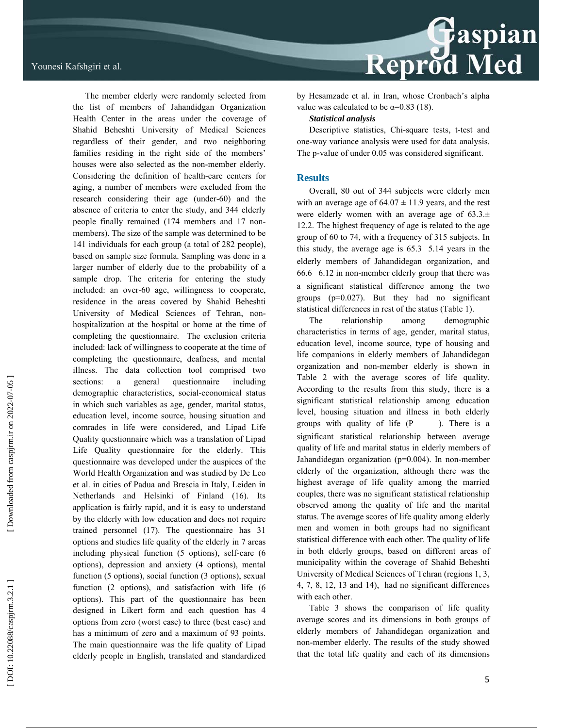

The member elderly were randomly selected from the list of members of Jahandidgan Organization Health Center in the areas under the coverage of Shahid Beheshti University of Medical Sciences regardless of their gender, and two neighboring families residing in the right side of the members' houses were also selected as the non-member elderly. Considering the definition of health-care centers for aging, a number of members were excluded from the research considering their age (under-60) and the absence of criteria to enter the study, and 344 elderly people finally remained (174 members and 17 nonmembers). The size of the sample was determined to be 141 individuals for each group (a total of 282 people), based on sample size formula. Sampling was done in a larger number of elderly due to the probability of a sample drop. The criteria for entering the study included: an over-60 age, willingness to cooperate, residence in the areas covered by Shahid Beheshti University of Medical Sciences of Tehran, nonhospitalization at the hospital or home at the time of completing the questionnaire. The exclusion criteria included: lack of willingness to cooperate at the time of completing the questionnaire, deafness, and mental illness. The data collection tool comprised two sections: a general questionnaire including demographic characteristics, social-economical status in which such variables as age, gender, marital status, education level, income source, housing situation and comrades in life were considered, and Lipad Life Quality questionnaire which was a translation of Lipad Life Quality questionnaire for the elderly. This questionnaire was developed under the auspices of the World Health Organization and was studied by De Leo et al. in cities of Padua and Brescia in Italy, Leiden in Netherlands and Helsinki of Finland (16). Its application is fairly rapid, and it is easy to understand by the elderly with low education and does not require trained personnel (17). The questionnaire has 31 options and studies life quality of the elderly in 7 areas including physical function (5 options), self-care (6 options), depression and anxiety (4 options), mental function (5 options), social function (3 options), sexual function (2 options), and satisfaction with life (6 options). This part of the questionnaire has been designed in Likert form and each question has 4 options from zero (worst case) to three (best case) and has a minimum of zero and a maximum of 93 points. The main questionnaire was the life quality of Lipad elderly people in English, translated and standardized

by Hesamzade et al. in Iran, whose Cronbach's alpha value was calculated to be  $\alpha=0.83$  (18).

*Statistical analysis* 

Descriptive statistics, Chi-square tests, t-test and one-way variance analysis were used for data analysis. The p-value of under 0.05 was considered significant.

### **Results**

Overall, 80 out of 344 subjects were elderly men with an average age of  $64.07 \pm 11.9$  years, and the rest were elderly women with an average age of  $63.3 \pm$ 12.2. The highest frequency of age is related to the age group of 60 to 74, with a frequency of 315 subjects. In this study, the average age is 65.3 5.14 years in the elderly members of Jahandidegan organization, and 66.6 6.12 in non-member elderly group that there was a significant statistical difference among the two groups (p=0.027). But they had no significant statistical differences in rest of the status (Table 1).

The relationship among demographic characteristics in terms of age, gender, marital status, education level, income source, type of housing and life companions in elderly members of Jahandidegan organization and non-member elderly is shown in Table 2 with the average scores of life quality. According to the results from this study, there is a significant statistical relationship among education level, housing situation and illness in both elderly groups with quality of life (P ). There is a significant statistical relationship between average quality of life and marital status in elderly members of Jahandidegan organization (p=0.004). In non-member elderly of the organization, although there was the highest average of life quality among the married couples, there was no significant statistical relationship observed among the quality of life and the marital status. The average scores of life quality among elderly men and women in both groups had no significant statistical difference with each other. The quality of life in both elderly groups, based on different areas of municipality within the coverage of Shahid Beheshti University of Medical Sciences of Tehran (regions 1, 3, 4, 7, 8, 12, 13 and 14), had no significant differences with each other.

Table 3 shows the comparison of life quality average scores and its dimensions in both groups of elderly members of Jahandidegan organization and non-member elderly. The results of the study showed that the total life quality and each of its dimensions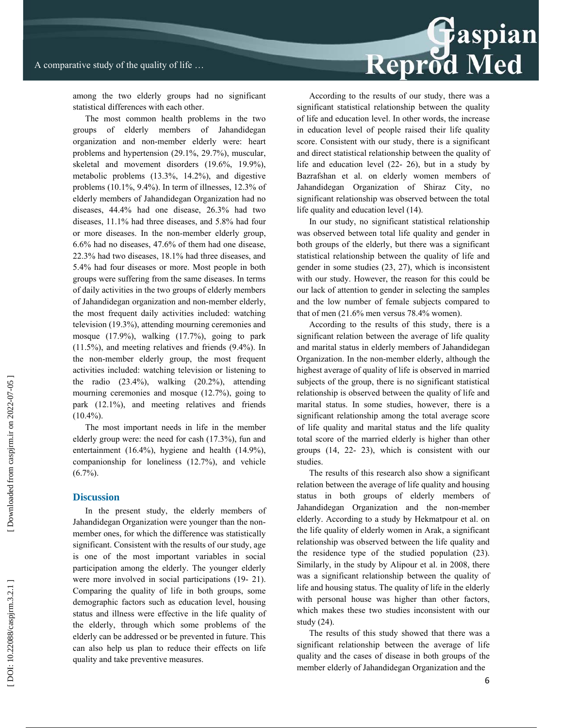among the two elderly groups had no significant statistical differences with each other.

The most common health problems in the two groups of elderly members of Jahandidegan organization and non-member elderly were: heart problems and hypertension (29.1%, 29.7%), muscular, skeletal and movement disorders (19.6%, 19.9%), metabolic problems (13.3%, 14.2%), and digestive problems (10.1%, 9.4%). In term of illnesses, 12.3% of elderly members of Jahandidegan Organization had no diseases, 44.4% had one disease, 26.3% had two diseases, 11.1% had three diseases, and 5.8% had four or more diseases. In the non-member elderly group, 6.6% had no diseases, 47.6% of them had one disease, 22.3% had two diseases, 18.1% had three diseases, and 5.4% had four diseases or more. Most people in both groups were suffering from the same diseases. In terms of daily activities in the two groups of elderly members of Jahandidegan organization and non-member elderly, the most frequent daily activities included: watching television (19.3%), attending mourning ceremonies and mosque (17.9%), walking (17.7%), going to park (11.5%), and meeting relatives and friends (9.4%). In the non-member elderly group, the most frequent activities included: watching television or listening to the radio (23.4%), walking (20.2%), attending mourning ceremonies and mosque (12.7%), going to park (12.1%), and meeting relatives and friends  $(10.4\%)$ .

The most important needs in life in the member elderly group were: the need for cash (17.3%), fun and entertainment (16.4%), hygiene and health (14.9%), companionship for loneliness (12.7%), and vehicle  $(6.7\%)$ .

### **Discussion**

In the present study, the elderly members of Jahandidegan Organization were younger than the nonmember ones, for which the difference was statistically significant. Consistent with the results of our study, age is one of the most important variables in social participation among the elderly. The younger elderly were more involved in social participations (19- 21). Comparing the quality of life in both groups, some demographic factors such as education level, housing status and illness were effective in the life quality of the elderly, through which some problems of the elderly can be addressed or be prevented in future. This can also help us plan to reduce their effects on life quality and take preventive measures.

According to the results of our study, there was a significant statistical relationship between the quality of life and education level. In other words, the increase in education level of people raised their life quality score. Consistent with our study, there is a significant and direct statistical relationship between the quality of life and education level (22- 26), but in a study by Bazrafshan et al. on elderly women members of Jahandidegan Organization of Shiraz City, no significant relationship was observed between the total life quality and education level (14).

In our study, no significant statistical relationship was observed between total life quality and gender in both groups of the elderly, but there was a significant statistical relationship between the quality of life and gender in some studies (23, 27), which is inconsistent with our study. However, the reason for this could be our lack of attention to gender in selecting the samples and the low number of female subjects compared to that of men (21.6% men versus 78.4% women).

According to the results of this study, there is a significant relation between the average of life quality and marital status in elderly members of Jahandidegan Organization. In the non-member elderly, although the highest average of quality of life is observed in married subjects of the group, there is no significant statistical relationship is observed between the quality of life and marital status. In some studies, however, there is a significant relationship among the total average score of life quality and marital status and the life quality total score of the married elderly is higher than other groups (14, 22- 23), which is consistent with our studies.

The results of this research also show a significant relation between the average of life quality and housing status in both groups of elderly members of Jahandidegan Organization and the non-member elderly. According to a study by Hekmatpour et al. on the life quality of elderly women in Arak, a significant relationship was observed between the life quality and the residence type of the studied population (23). Similarly, in the study by Alipour et al. in 2008, there was a significant relationship between the quality of life and housing status. The quality of life in the elderly with personal house was higher than other factors, which makes these two studies inconsistent with our study (24).

The results of this study showed that there was a significant relationship between the average of life quality and the cases of disease in both groups of the member elderly of Jahandidegan Organization and the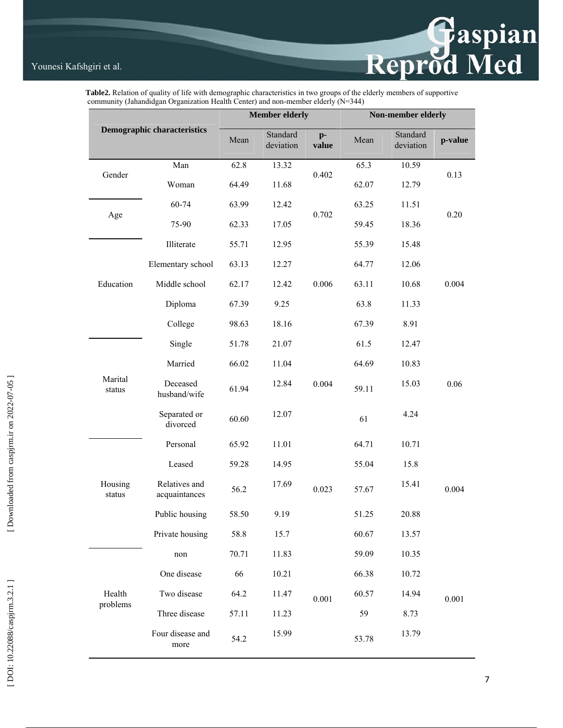# Reprod Med

 **Table2.** Relation of quality of life with demographic characteristics in two groups of the elderly members of supportive community (Jahandidgan Organization Health Center) and non-member elderly (N=344)

| <b>Demographic characteristics</b> |                                | <b>Member elderly</b> |                       |               | Non-member elderly |                       |         |  |
|------------------------------------|--------------------------------|-----------------------|-----------------------|---------------|--------------------|-----------------------|---------|--|
|                                    |                                | Mean                  | Standard<br>deviation | $p-$<br>value | Mean               | Standard<br>deviation | p-value |  |
| Gender                             | Man                            | 62.8                  | 13.32                 | 0.402         | 65.3               | 10.59                 | 0.13    |  |
|                                    | Woman                          | 64.49                 | 11.68                 |               | 62.07              | 12.79                 |         |  |
| Age                                | 60-74                          | 63.99                 | 12.42                 | 0.702         | 63.25              | 11.51                 | 0.20    |  |
|                                    | 75-90                          | 62.33                 | 17.05                 |               | 59.45              | 18.36                 |         |  |
| Education                          | Illiterate                     | 55.71                 | 12.95                 | 0.006         | 55.39              | 15.48                 | 0.004   |  |
|                                    | Elementary school              | 63.13                 | 12.27                 |               | 64.77              | 12.06                 |         |  |
|                                    | Middle school                  | 62.17                 | 12.42                 |               | 63.11              | 10.68                 |         |  |
|                                    | Diploma                        | 67.39                 | 9.25                  |               | 63.8               | 11.33                 |         |  |
|                                    | College                        | 98.63                 | 18.16                 |               | 67.39              | 8.91                  |         |  |
| Marital<br>status                  | Single                         | 51.78                 | 21.07                 | 0.004         | 61.5               | 12.47                 | 0.06    |  |
|                                    | Married                        | 66.02                 | 11.04                 |               | 64.69              | 10.83                 |         |  |
|                                    | Deceased<br>husband/wife       | 61.94                 | 12.84                 |               | 59.11              | 15.03                 |         |  |
|                                    | Separated or<br>divorced       | 60.60                 | 12.07                 |               | 61                 | 4.24                  |         |  |
| Housing<br>status                  | Personal                       | 65.92                 | 11.01                 | 0.023         | 64.71              | 10.71                 | 0.004   |  |
|                                    | Leased                         | 59.28                 | 14.95                 |               | 55.04              | 15.8                  |         |  |
|                                    | Relatives and<br>acquaintances | 56.2                  | 17.69                 |               | 57.67              | 15.41                 |         |  |
|                                    | Public housing                 | 58.50                 | 9.19                  |               | 51.25              | 20.88                 |         |  |
|                                    | Private housing                | 58.8                  | 15.7                  |               | 60.67              | 13.57                 |         |  |
| Health<br>problems                 | non                            | 70.71                 | 11.83                 | 0.001         | 59.09              | 10.35                 | 0.001   |  |
|                                    | One disease                    | 66                    | 10.21                 |               | 66.38              | 10.72                 |         |  |
|                                    | Two disease                    | 64.2                  | 11.47                 |               | 60.57              | 14.94                 |         |  |
|                                    | Three disease                  | 57.11                 | 11.23                 |               | 59                 | 8.73                  |         |  |
|                                    | Four disease and<br>more       | 54.2                  | 15.99                 |               | 53.78              | 13.79                 |         |  |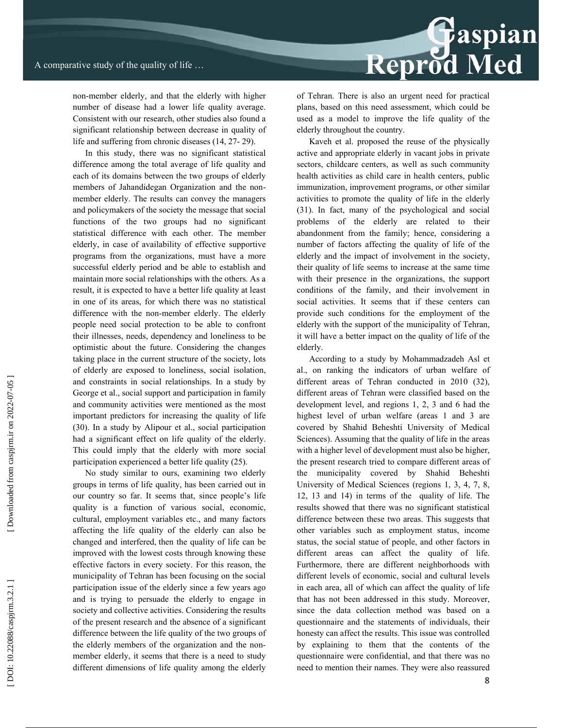

non-member elderly, and that the elderly with higher number of disease had a lower life quality average. Consistent with our research, other studies also found a significant relationship between decrease in quality of life and suffering from chronic diseases (14, 27- 29).

In this study, there was no significant statistical difference among the total average of life quality and each of its domains between the two groups of elderly members of Jahandidegan Organization and the nonmember elderly. The results can convey the managers and policymakers of the society the message that social functions of the two groups had no significant statistical difference with each other. The member elderly, in case of availability of effective supportive programs from the organizations, must have a more successful elderly period and be able to establish and maintain more social relationships with the others. As a result, it is expected to have a better life quality at least in one of its areas, for which there was no statistical difference with the non-member elderly. The elderly people need social protection to be able to confront their illnesses, needs, dependency and loneliness to be optimistic about the future. Considering the changes taking place in the current structure of the society, lots of elderly are exposed to loneliness, social isolation, and constraints in social relationships. In a study by George et al., social support and participation in family and community activities were mentioned as the most important predictors for increasing the quality of life (30). In a study by Alipour et al., social participation had a significant effect on life quality of the elderly. This could imply that the elderly with more social participation experienced a better life quality (25).

No study similar to ours, examining two elderly groups in terms of life quality, has been carried out in our country so far. It seems that, since people's life quality is a function of various social, economic, cultural, employment variables etc., and many factors affecting the life quality of the elderly can also be changed and interfered, then the quality of life can be improved with the lowest costs through knowing these effective factors in every society. For this reason, the municipality of Tehran has been focusing on the social participation issue of the elderly since a few years ago and is trying to persuade the elderly to engage in society and collective activities. Considering the results of the present research and the absence of a significant difference between the life quality of the two groups of the elderly members of the organization and the nonmember elderly, it seems that there is a need to study different dimensions of life quality among the elderly of Tehran. There is also an urgent need for practical plans, based on this need assessment, which could be used as a model to improve the life quality of the elderly throughout the country.

Kaveh et al. proposed the reuse of the physically active and appropriate elderly in vacant jobs in private sectors, childcare centers, as well as such community health activities as child care in health centers, public immunization, improvement programs, or other similar activities to promote the quality of life in the elderly (31). In fact, many of the psychological and social problems of the elderly are related to their abandonment from the family; hence, considering a number of factors affecting the quality of life of the elderly and the impact of involvement in the society, their quality of life seems to increase at the same time with their presence in the organizations, the support conditions of the family, and their involvement in social activities. It seems that if these centers can provide such conditions for the employment of the elderly with the support of the municipality of Tehran, it will have a better impact on the quality of life of the elderly.

According to a study by Mohammadzadeh Asl et al., on ranking the indicators of urban welfare of different areas of Tehran conducted in 2010 (32), different areas of Tehran were classified based on the development level, and regions 1, 2, 3 and 6 had the highest level of urban welfare (areas 1 and 3 are covered by Shahid Beheshti University of Medical Sciences). Assuming that the quality of life in the areas with a higher level of development must also be higher, the present research tried to compare different areas of the municipality covered by Shahid Beheshti University of Medical Sciences (regions 1, 3, 4, 7, 8, 12, 13 and 14) in terms of the quality of life. The results showed that there was no significant statistical difference between these two areas. This suggests that other variables such as employment status, income status, the social statue of people, and other factors in different areas can affect the quality of life. Furthermore, there are different neighborhoods with different levels of economic, social and cultural levels in each area, all of which can affect the quality of life that has not been addressed in this study. Moreover, since the data collection method was based on a questionnaire and the statements of individuals, their honesty can affect the results. This issue was controlled by explaining to them that the contents of the questionnaire were confidential, and that there was no need to mention their names. They were also reassured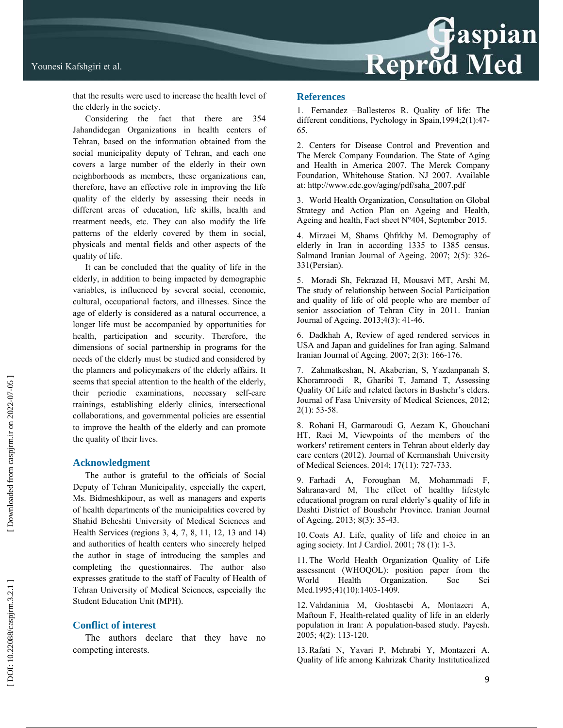

### Younesi Kafshgiri et al.

that the results were used to increase the health level of the elderly in the society.

Considering the fact that there are 354 Jahandidegan Organizations in health centers of Tehran, based on the information obtained from the social municipality deputy of Tehran, and each one covers a large number of the elderly in their own neighborhoods as members, these organizations can, therefore, have an effective role in improving the life quality of the elderly by assessing their needs in different areas of education, life skills, health and treatment needs, etc. They can also modify the life patterns of the elderly covered by them in social, physicals and mental fields and other aspects of the quality of life.

It can be concluded that the quality of life in the elderly, in addition to being impacted by demographic variables, is influenced by several social, economic, cultural, occupational factors, and illnesses. Since the age of elderly is considered as a natural occurrence, a longer life must be accompanied by opportunities for health, participation and security. Therefore, the dimensions of social partnership in programs for the needs of the elderly must be studied and considered by the planners and policymakers of the elderly affairs. It seems that special attention to the health of the elderly, their periodic examinations, necessary self-care trainings, establishing elderly clinics, intersectional collaborations, and governmental policies are essential to improve the health of the elderly and can promote the quality of their lives.

### **Acknowledgment**

The author is grateful to the officials of Social Deputy of Tehran Municipality, especially the expert, Ms. Bidmeshkipour, as well as managers and experts of health departments of the municipalities covered by Shahid Beheshti University of Medical Sciences and Health Services (regions 3, 4, 7, 8, 11, 12, 13 and 14) and authorities of health centers who sincerely helped the author in stage of introducing the samples and completing the questionnaires. The author also expresses gratitude to the staff of Faculty of Health of Tehran University of Medical Sciences, especially the Student Education Unit (MPH).

### **Conflict of interest**

The authors declare that they have no competing interests.

### **References**

1. Fernandez –Ballesteros R. Quality of life: The different conditions, Pychology in Spain,1994;2(1):47- 65.

2. Centers for Disease Control and Prevention and The Merck Company Foundation. The State of Aging and Health in America 2007. The Merck Company Foundation, Whitehouse Station. NJ 2007. Available at: http://www.cdc.gov/aging/pdf/saha\_2007.pdf

3. World Health Organization, Consultation on Global Strategy and Action Plan on Ageing and Health, Ageing and health, Fact sheet N°404, September 2015.

4. Mirzaei M, Shams Qhfrkhy M. Demography of elderly in Iran in according 1335 to 1385 census. Salmand Iranian Journal of Ageing. 2007; 2(5): 326- 331(Persian).

5. Moradi Sh, Fekrazad H, Mousavi MT, Arshi M, The study of relationship between Social Participation and quality of life of old people who are member of senior association of Tehran City in 2011. Iranian Journal of Ageing. 2013;4(3): 41-46.

6. Dadkhah A, Review of aged rendered services in USA and Japan and guidelines for Iran aging. Salmand Iranian Journal of Ageing. 2007; 2(3): 166-176.

7. Zahmatkeshan, N, Akaberian, S, Yazdanpanah S, Khoramroodi R, Gharibi T, Jamand T, Assessing Quality Of Life and related factors in Bushehr's elders. Journal of Fasa University of Medical Sciences, 2012; 2(1): 53-58.

8. Rohani H, Garmaroudi G, Aezam K, Ghouchani HT, Raei M, Viewpoints of the members of the workers' retirement centers in Tehran about elderly day care centers (2012). Journal of Kermanshah University of Medical Sciences. 2014; 17(11): 727-733.

9. Farhadi A, Foroughan M, Mohammadi F, Sahranavard M, The effect of healthy lifestyle educational program on rural elderly's quality of life in Dashti District of Boushehr Province. Iranian Journal of Ageing. 2013; 8(3): 35-43.

10. Coats AJ. Life, quality of life and choice in an aging society. Int J Cardiol. 2001; 78 (1): 1-3.

11. The World Health Organization Quality of Life assessment (WHOQOL): position paper from the World Health Organization. Soc Sci Med.1995;41(10):1403-1409.

12. Vahdaninia M, Goshtasebi A, Montazeri A, Maftoun F, Health-related quality of life in an elderly population in Iran: A population-based study. Payesh. 2005; 4(2): 113-120.

13. Rafati N, Yavari P, Mehrabi Y, Montazeri A. Quality of life among Kahrizak Charity Institutioalized